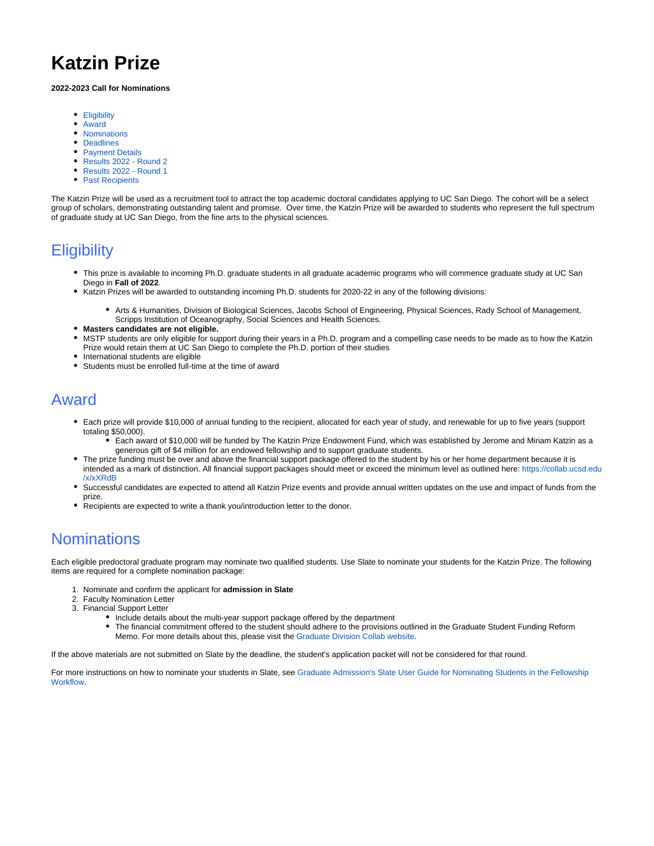# **Katzin Prize**

#### **2022-2023 Call for Nominations**

- [Eligibility](#page-0-0)
- $\bullet$ [Award](#page-0-1)
- [Nominations](#page-0-2)
- [Deadlines](#page-1-0)
- [Payment Details](#page-1-1)
- [Results 2022 Round 2](#page-1-2)
- [Results 2022 Round 1](#page-2-0)
- [Past Recipients](#page-2-1)

The Katzin Prize will be used as a recruitment tool to attract the top academic doctoral candidates applying to UC San Diego. The cohort will be a select group of scholars, demonstrating outstanding talent and promise. Over time, the Katzin Prize will be awarded to students who represent the full spectrum of graduate study at UC San Diego, from the fine arts to the physical sciences.

## <span id="page-0-0"></span>**Eligibility**

- This prize is available to incoming Ph.D. graduate students in all graduate academic programs who will commence graduate study at UC San Diego in **Fall of 2022**.
- Katzin Prizes will be awarded to outstanding incoming Ph.D. students for 2020-22 in any of the following divisions:
	- Arts & Humanities, Division of Biological Sciences, Jacobs School of Engineering, Physical Sciences, Rady School of Management, Scripps Institution of Oceanography, Social Sciences and Health Sciences.
- **Masters candidates are not eligible.**
- MSTP students are only eligible for support during their years in a Ph.D. program and a compelling case needs to be made as to how the Katzin Prize would retain them at UC San Diego to complete the Ph.D. portion of their studies
- International students are eligible
- Students must be enrolled full-time at the time of award

#### <span id="page-0-1"></span>Award

- Each prize will provide \$10,000 of annual funding to the recipient, allocated for each year of study, and renewable for up to five years (support totaling \$50,000).
	- Each award of \$10,000 will be funded by The Katzin Prize Endowment Fund, which was established by Jerome and Miriam Katzin as a generous gift of \$4 million for an endowed fellowship and to support graduate students.
- The prize funding must be over and above the financial support package offered to the student by his or her home department because it is intended as a mark of distinction. All financial support packages should meet or exceed the minimum level as outlined here: [https://collab.ucsd.edu](https://collab.ucsd.edu/x/xXRdB) [/x/xXRdB](https://collab.ucsd.edu/x/xXRdB)
- Successful candidates are expected to attend all Katzin Prize events and provide annual written updates on the use and impact of funds from the prize.
- Recipients are expected to write a thank you/introduction letter to the donor.

# <span id="page-0-2"></span>**Nominations**

Each eligible predoctoral graduate program may nominate two qualified students. Use Slate to nominate your students for the Katzin Prize. The following items are required for a complete nomination package:

- 1. Nominate and confirm the applicant for **admission in Slate**
- 2. Faculty Nomination Letter
- 3. Financial Support Letter
	- Include details about the multi-year support package offered by the department
	- The financial commitment offered to the student should adhere to the provisions outlined in the Graduate Student Funding Reform Memo. For more details about this, please visit the [Graduate Division Collab website](https://collab.ucsd.edu/x/xXRdB).

If the above materials are not submitted on Slate by the deadline, the student's application packet will not be considered for that round.

For more instructions on how to nominate your students in Slate, see [Graduate Admission's Slate User Guide for Nominating Students in the Fellowship](https://collab.ucsd.edu/display/GDCP/Fellowship+Workflow+Nominations+-+How+To+For+Departments#FellowshipWorkflowNominationsHowToForDepartments-ToNominateApplicantsintheFellowshipWorkflow)  [Workflow.](https://collab.ucsd.edu/display/GDCP/Fellowship+Workflow+Nominations+-+How+To+For+Departments#FellowshipWorkflowNominationsHowToForDepartments-ToNominateApplicantsintheFellowshipWorkflow)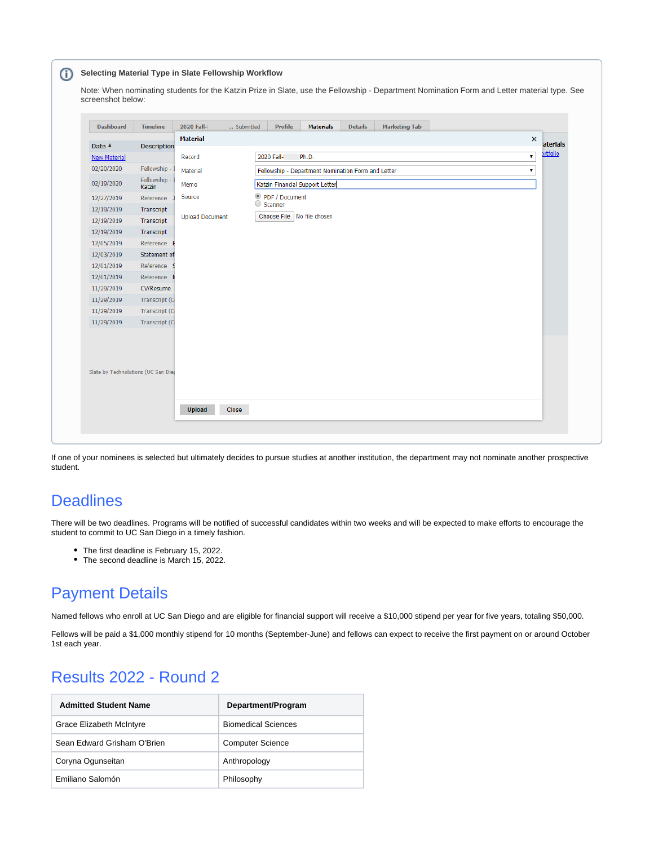| <b>Dashboard</b>    | <b>Timeline</b>                     | 2020 Fall-<br>Submitted | <b>Profile</b>             | <b>Materials</b>                                         | <b>Details</b> | <b>Marketing Tab</b> |  |    |                 |
|---------------------|-------------------------------------|-------------------------|----------------------------|----------------------------------------------------------|----------------|----------------------|--|----|-----------------|
|                     |                                     | <b>Material</b>         |                            |                                                          |                |                      |  | ×  | aterials        |
| Date A              | <b>Description</b>                  |                         |                            |                                                          |                |                      |  |    | <b>ortfolio</b> |
| <b>New Material</b> |                                     | Record                  | 2020 Fall-I                | Ph.D.                                                    |                |                      |  | ۷. |                 |
| 02/20/2020          | Fellowship -                        | Material                |                            | Fellowship - Department Nomination Form and Letter<br>۷. |                |                      |  |    |                 |
| 02/19/2020          | Fellowship -<br>Katzin              | Memo                    |                            | Katzin Financial Support Letter                          |                |                      |  |    |                 |
| 12/27/2019          | Reference J                         | Source                  | PDF / Document             |                                                          |                |                      |  |    |                 |
| 12/19/2019          | Transcript                          |                         | Scanner                    |                                                          |                |                      |  |    |                 |
| 12/19/2019          | Transcript                          | <b>Upload Document</b>  | Choose File No file chosen |                                                          |                |                      |  |    |                 |
| 12/19/2019          | Transcript                          |                         |                            |                                                          |                |                      |  |    |                 |
| 12/05/2019          | Reference E                         |                         |                            |                                                          |                |                      |  |    |                 |
| 12/03/2019          | Statement of                        |                         |                            |                                                          |                |                      |  |    |                 |
| 12/01/2019          | Reference S                         |                         |                            |                                                          |                |                      |  |    |                 |
| 12/01/2019          | Reference                           |                         |                            |                                                          |                |                      |  |    |                 |
| 11/29/2019          | CV/Resume                           |                         |                            |                                                          |                |                      |  |    |                 |
| 11/29/2019          | Transcript (O                       |                         |                            |                                                          |                |                      |  |    |                 |
| 11/29/2019          | Transcript (C                       |                         |                            |                                                          |                |                      |  |    |                 |
| 11/29/2019          | Transcript (O                       |                         |                            |                                                          |                |                      |  |    |                 |
|                     |                                     |                         |                            |                                                          |                |                      |  |    |                 |
|                     |                                     |                         |                            |                                                          |                |                      |  |    |                 |
|                     |                                     |                         |                            |                                                          |                |                      |  |    |                 |
|                     | Slate by Technolutions (UC San Dieg |                         |                            |                                                          |                |                      |  |    |                 |
|                     |                                     |                         |                            |                                                          |                |                      |  |    |                 |
|                     |                                     |                         |                            |                                                          |                |                      |  |    |                 |

If one of your nominees is selected but ultimately decides to pursue studies at another institution, the department may not nominate another prospective student.

### <span id="page-1-0"></span>**Deadlines**

There will be two deadlines. Programs will be notified of successful candidates within two weeks and will be expected to make efforts to encourage the student to commit to UC San Diego in a timely fashion.

- The first deadline is February 15, 2022.
- The second deadline is March 15, 2022.

### <span id="page-1-1"></span>Payment Details

Named fellows who enroll at UC San Diego and are eligible for financial support will receive a \$10,000 stipend per year for five years, totaling \$50,000.

Fellows will be paid a \$1,000 monthly stipend for 10 months (September-June) and fellows can expect to receive the first payment on or around October 1st each year.

# <span id="page-1-2"></span>Results 2022 - Round 2

| <b>Admitted Student Name</b> | Department/Program         |
|------------------------------|----------------------------|
| Grace Elizabeth McIntyre     | <b>Biomedical Sciences</b> |
| Sean Edward Grisham O'Brien  | <b>Computer Science</b>    |
| Coryna Ogunseitan            | Anthropology               |
| Emiliano Salomón             | Philosophy                 |